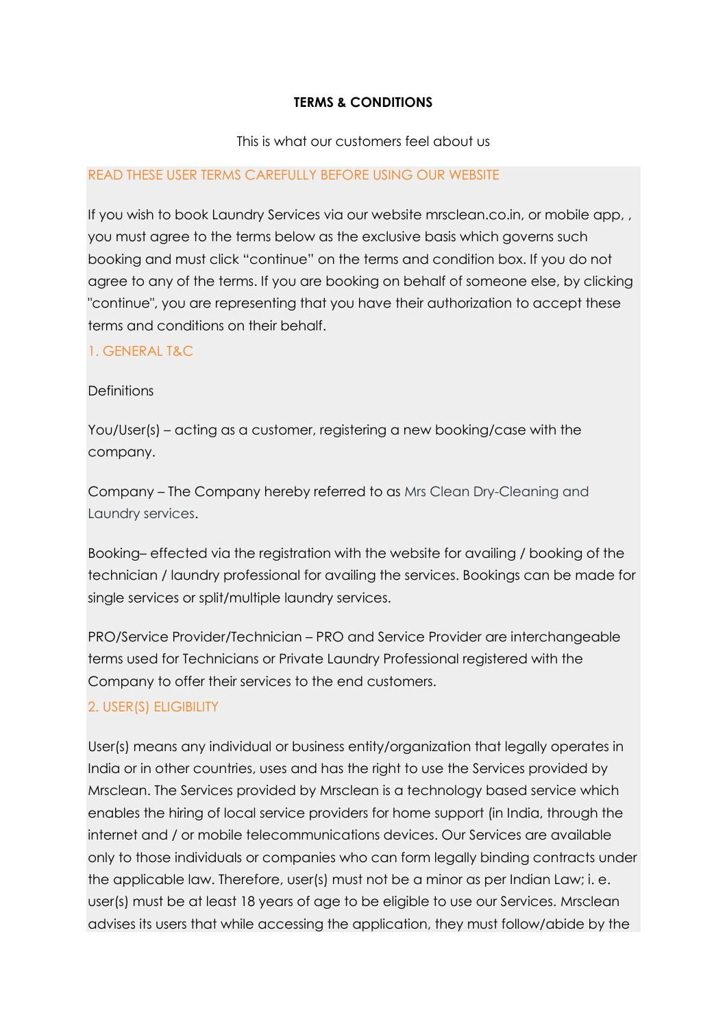### **TERMS & CONDITIONS**

### This is what our customers feel about us

### READ THESE USER TERMS CAREFULLY BEFORE USING OUR WEBSITE

If you wish to book Laundry Services via our website mrsclean.co.in, or mobile app, , you must agree to the terms below as the exclusive basis which governs such booking and must click "continue" on the terms and condition box. If you do not agree to any of the terms. If you are booking on behalf of someone else, by clicking "continue", you are representing that you have their authorization to accept these terms and conditions on their behalf.

### 1. GENERAL T&C

### **Definitions**

You/User(s) – acting as a customer, registering a new booking/case with the company.

Company – The Company hereby referred to as Mrs Clean Dry-Cleaning and Laundry services.

Booking– effected via the registration with the website for availing / booking of the technician / laundry professional for availing the services. Bookings can be made for single services or split/multiple laundry services.

PRO/Service Provider/Technician – PRO and Service Provider are interchangeable terms used for Technicians or Private Laundry Professional registered with the Company to offer their services to the end customers.

# 2. USER(S) ELIGIBILITY

User(s) means any individual or business entity/organization that legally operates in India or in other countries, uses and has the right to use the Services provided by Mrsclean. The Services provided by Mrsclean is a technology based service which enables the hiring of local service providers for home support (in India, through the internet and / or mobile telecommunications devices. Our Services are available only to those individuals or companies who can form legally binding contracts under the applicable law. Therefore, user(s) must not be a minor as per Indian Law; i. e. user(s) must be at least 18 years of age to be eligible to use our Services. Mrsclean advises its users that while accessing the application, they must follow/abide by the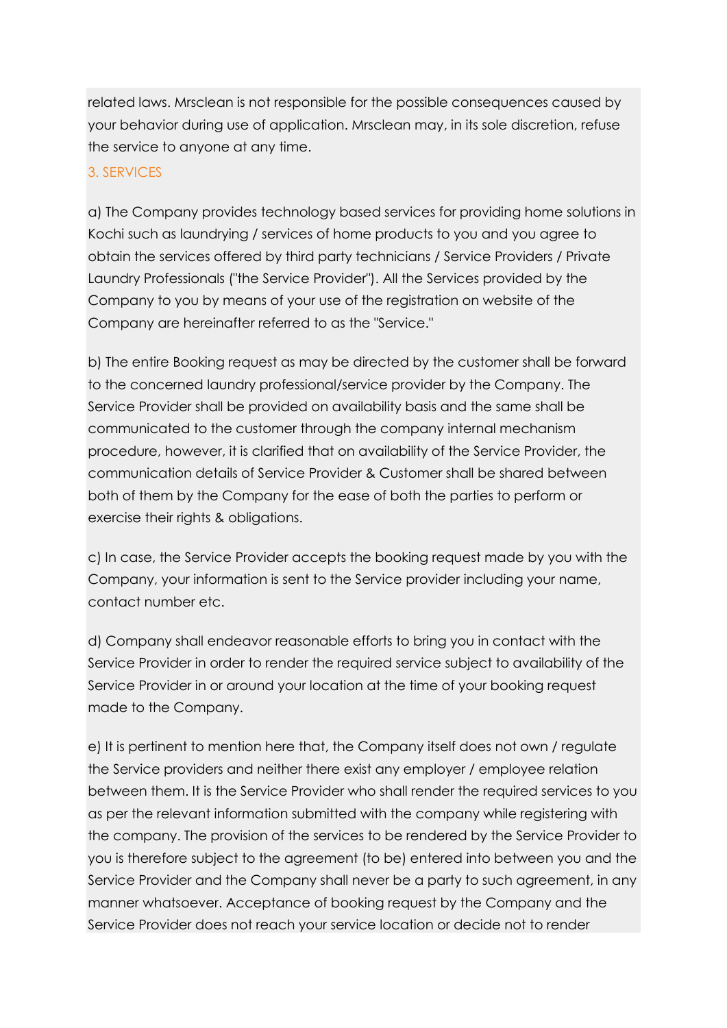related laws. Mrsclean is not responsible for the possible consequences caused by your behavior during use of application. Mrsclean may, in its sole discretion, refuse the service to anyone at any time.

# 3. SERVICES

a) The Company provides technology based services for providing home solutions in Kochi such as laundrying / services of home products to you and you agree to obtain the services offered by third party technicians / Service Providers / Private Laundry Professionals ("the Service Provider"). All the Services provided by the Company to you by means of your use of the registration on website of the Company are hereinafter referred to as the "Service."

b) The entire Booking request as may be directed by the customer shall be forward to the concerned laundry professional/service provider by the Company. The Service Provider shall be provided on availability basis and the same shall be communicated to the customer through the company internal mechanism procedure, however, it is clarified that on availability of the Service Provider, the communication details of Service Provider & Customer shall be shared between both of them by the Company for the ease of both the parties to perform or exercise their rights & obligations.

c) In case, the Service Provider accepts the booking request made by you with the Company, your information is sent to the Service provider including your name, contact number etc.

d) Company shall endeavor reasonable efforts to bring you in contact with the Service Provider in order to render the required service subject to availability of the Service Provider in or around your location at the time of your booking request made to the Company.

e) It is pertinent to mention here that, the Company itself does not own / regulate the Service providers and neither there exist any employer / employee relation between them. It is the Service Provider who shall render the required services to you as per the relevant information submitted with the company while registering with the company. The provision of the services to be rendered by the Service Provider to you is therefore subject to the agreement (to be) entered into between you and the Service Provider and the Company shall never be a party to such agreement, in any manner whatsoever. Acceptance of booking request by the Company and the Service Provider does not reach your service location or decide not to render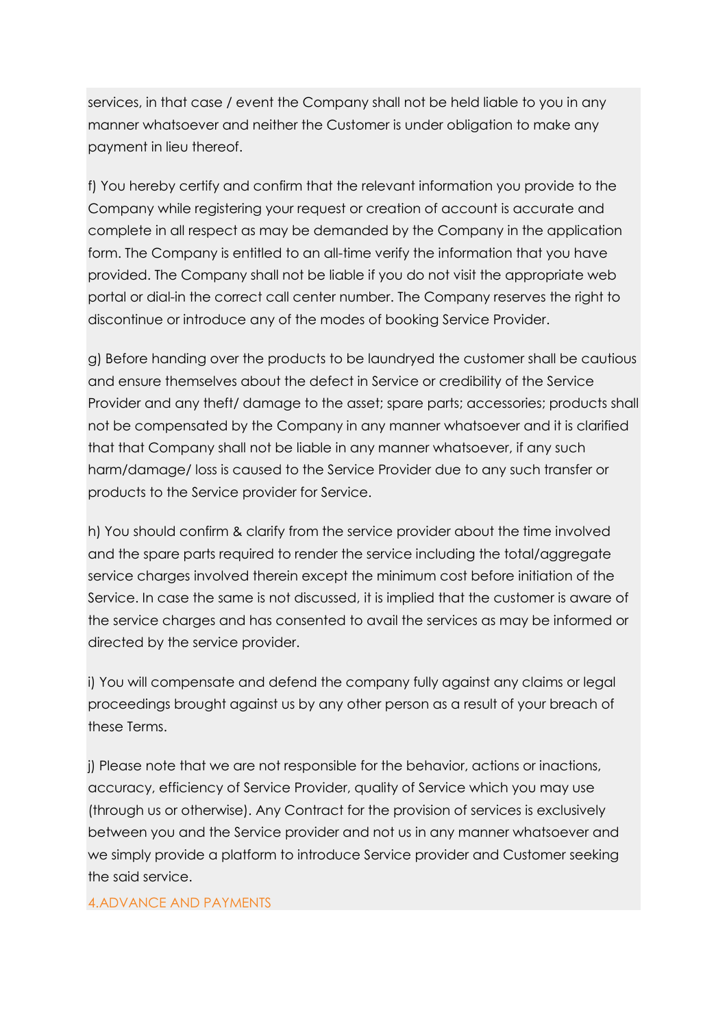services, in that case / event the Company shall not be held liable to you in any manner whatsoever and neither the Customer is under obligation to make any payment in lieu thereof.

f) You hereby certify and confirm that the relevant information you provide to the Company while registering your request or creation of account is accurate and complete in all respect as may be demanded by the Company in the application form. The Company is entitled to an all-time verify the information that you have provided. The Company shall not be liable if you do not visit the appropriate web portal or dial-in the correct call center number. The Company reserves the right to discontinue or introduce any of the modes of booking Service Provider.

g) Before handing over the products to be laundryed the customer shall be cautious and ensure themselves about the defect in Service or credibility of the Service Provider and any theft/ damage to the asset; spare parts; accessories; products shall not be compensated by the Company in any manner whatsoever and it is clarified that that Company shall not be liable in any manner whatsoever, if any such harm/damage/ loss is caused to the Service Provider due to any such transfer or products to the Service provider for Service.

h) You should confirm & clarify from the service provider about the time involved and the spare parts required to render the service including the total/aggregate service charges involved therein except the minimum cost before initiation of the Service. In case the same is not discussed, it is implied that the customer is aware of the service charges and has consented to avail the services as may be informed or directed by the service provider.

i) You will compensate and defend the company fully against any claims or legal proceedings brought against us by any other person as a result of your breach of these Terms.

j) Please note that we are not responsible for the behavior, actions or inactions, accuracy, efficiency of Service Provider, quality of Service which you may use (through us or otherwise). Any Contract for the provision of services is exclusively between you and the Service provider and not us in any manner whatsoever and we simply provide a platform to introduce Service provider and Customer seeking the said service.

#### 4.ADVANCE AND PAYMENTS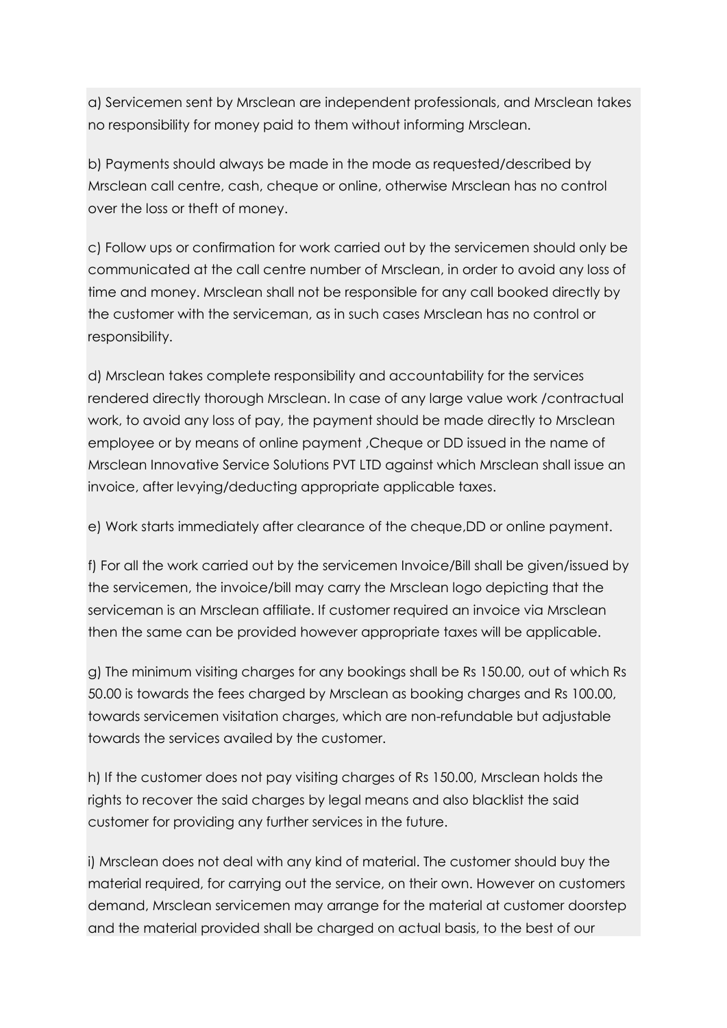a) Servicemen sent by Mrsclean are independent professionals, and Mrsclean takes no responsibility for money paid to them without informing Mrsclean.

b) Payments should always be made in the mode as requested/described by Mrsclean call centre, cash, cheque or online, otherwise Mrsclean has no control over the loss or theft of money.

c) Follow ups or confirmation for work carried out by the servicemen should only be communicated at the call centre number of Mrsclean, in order to avoid any loss of time and money. Mrsclean shall not be responsible for any call booked directly by the customer with the serviceman, as in such cases Mrsclean has no control or responsibility.

d) Mrsclean takes complete responsibility and accountability for the services rendered directly thorough Mrsclean. In case of any large value work /contractual work, to avoid any loss of pay, the payment should be made directly to Mrsclean employee or by means of online payment ,Cheque or DD issued in the name of Mrsclean Innovative Service Solutions PVT LTD against which Mrsclean shall issue an invoice, after levying/deducting appropriate applicable taxes.

e) Work starts immediately after clearance of the cheque,DD or online payment.

f) For all the work carried out by the servicemen Invoice/Bill shall be given/issued by the servicemen, the invoice/bill may carry the Mrsclean logo depicting that the serviceman is an Mrsclean affiliate. If customer required an invoice via Mrsclean then the same can be provided however appropriate taxes will be applicable.

g) The minimum visiting charges for any bookings shall be Rs 150.00, out of which Rs 50.00 is towards the fees charged by Mrsclean as booking charges and Rs 100.00, towards servicemen visitation charges, which are non-refundable but adjustable towards the services availed by the customer.

h) If the customer does not pay visiting charges of Rs 150.00, Mrsclean holds the rights to recover the said charges by legal means and also blacklist the said customer for providing any further services in the future.

i) Mrsclean does not deal with any kind of material. The customer should buy the material required, for carrying out the service, on their own. However on customers demand, Mrsclean servicemen may arrange for the material at customer doorstep and the material provided shall be charged on actual basis, to the best of our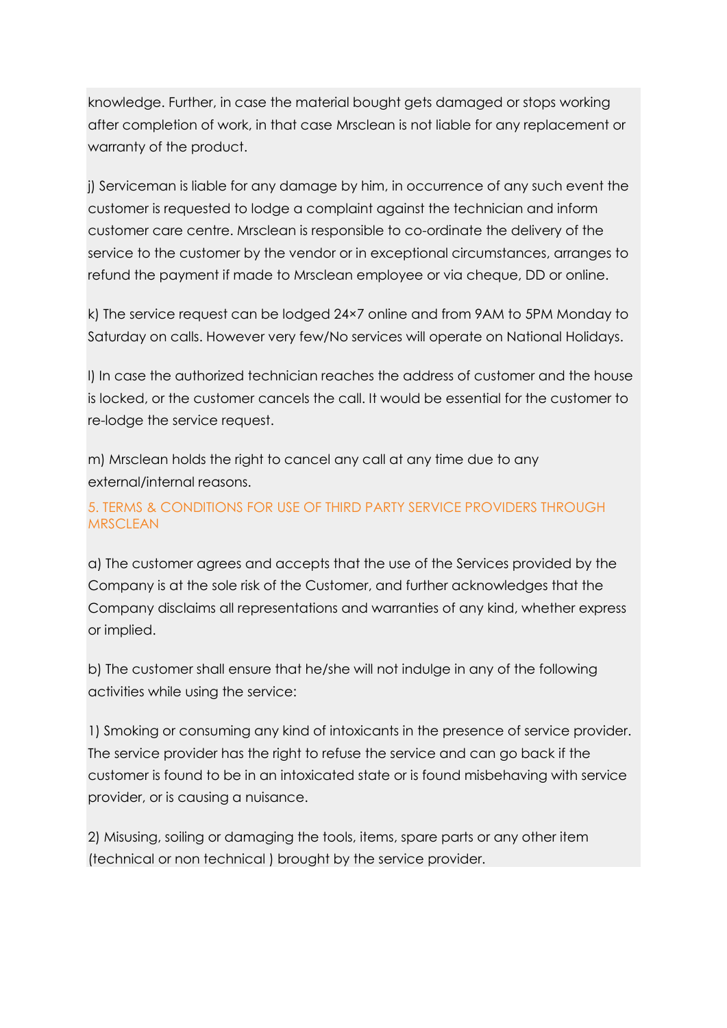knowledge. Further, in case the material bought gets damaged or stops working after completion of work, in that case Mrsclean is not liable for any replacement or warranty of the product.

j) Serviceman is liable for any damage by him, in occurrence of any such event the customer is requested to lodge a complaint against the technician and inform customer care centre. Mrsclean is responsible to co-ordinate the delivery of the service to the customer by the vendor or in exceptional circumstances, arranges to refund the payment if made to Mrsclean employee or via cheque, DD or online.

k) The service request can be lodged 24×7 online and from 9AM to 5PM Monday to Saturday on calls. However very few/No services will operate on National Holidays.

l) In case the authorized technician reaches the address of customer and the house is locked, or the customer cancels the call. It would be essential for the customer to re-lodge the service request.

m) Mrsclean holds the right to cancel any call at any time due to any external/internal reasons.

# 5. TERMS & CONDITIONS FOR USE OF THIRD PARTY SERVICE PROVIDERS THROUGH **MRSCLEAN**

a) The customer agrees and accepts that the use of the Services provided by the Company is at the sole risk of the Customer, and further acknowledges that the Company disclaims all representations and warranties of any kind, whether express or implied.

b) The customer shall ensure that he/she will not indulge in any of the following activities while using the service:

1) Smoking or consuming any kind of intoxicants in the presence of service provider. The service provider has the right to refuse the service and can go back if the customer is found to be in an intoxicated state or is found misbehaving with service provider, or is causing a nuisance.

2) Misusing, soiling or damaging the tools, items, spare parts or any other item (technical or non technical ) brought by the service provider.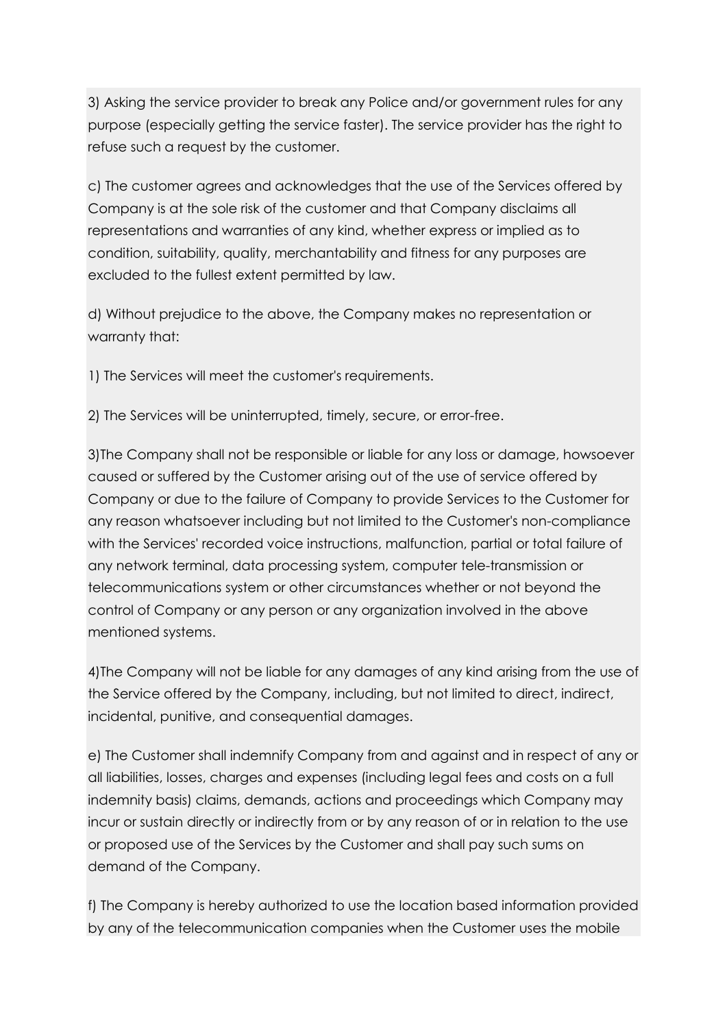3) Asking the service provider to break any Police and/or government rules for any purpose (especially getting the service faster). The service provider has the right to refuse such a request by the customer.

c) The customer agrees and acknowledges that the use of the Services offered by Company is at the sole risk of the customer and that Company disclaims all representations and warranties of any kind, whether express or implied as to condition, suitability, quality, merchantability and fitness for any purposes are excluded to the fullest extent permitted by law.

d) Without prejudice to the above, the Company makes no representation or warranty that:

1) The Services will meet the customer's requirements.

2) The Services will be uninterrupted, timely, secure, or error-free.

3)The Company shall not be responsible or liable for any loss or damage, howsoever caused or suffered by the Customer arising out of the use of service offered by Company or due to the failure of Company to provide Services to the Customer for any reason whatsoever including but not limited to the Customer's non-compliance with the Services' recorded voice instructions, malfunction, partial or total failure of any network terminal, data processing system, computer tele-transmission or telecommunications system or other circumstances whether or not beyond the control of Company or any person or any organization involved in the above mentioned systems.

4)The Company will not be liable for any damages of any kind arising from the use of the Service offered by the Company, including, but not limited to direct, indirect, incidental, punitive, and consequential damages.

e) The Customer shall indemnify Company from and against and in respect of any or all liabilities, losses, charges and expenses (including legal fees and costs on a full indemnity basis) claims, demands, actions and proceedings which Company may incur or sustain directly or indirectly from or by any reason of or in relation to the use or proposed use of the Services by the Customer and shall pay such sums on demand of the Company.

f) The Company is hereby authorized to use the location based information provided by any of the telecommunication companies when the Customer uses the mobile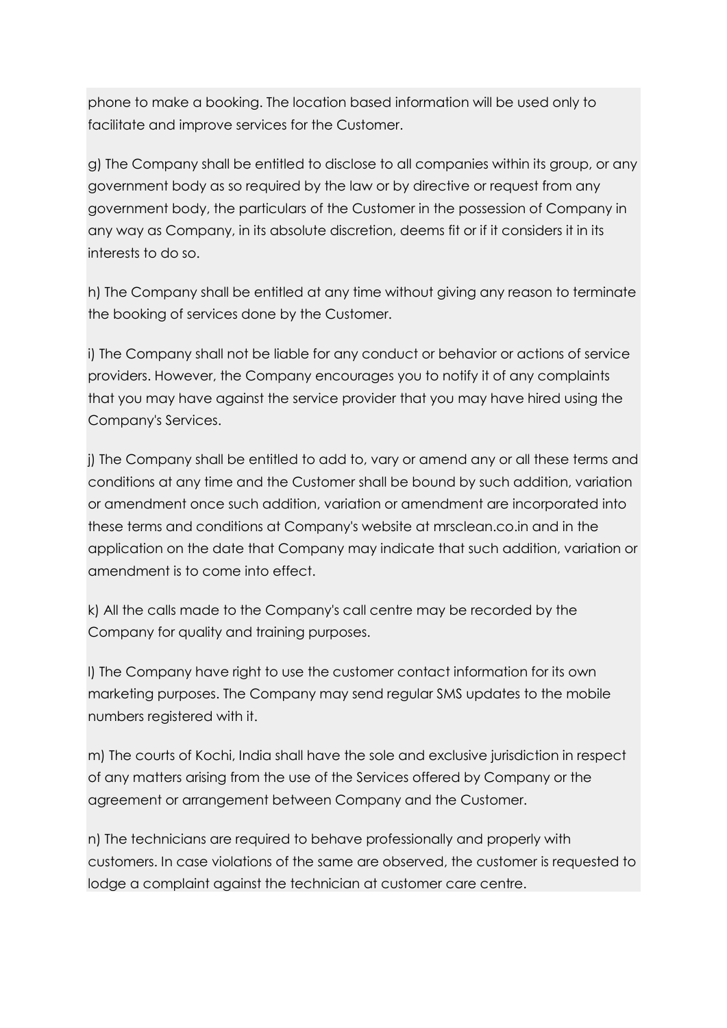phone to make a booking. The location based information will be used only to facilitate and improve services for the Customer.

g) The Company shall be entitled to disclose to all companies within its group, or any government body as so required by the law or by directive or request from any government body, the particulars of the Customer in the possession of Company in any way as Company, in its absolute discretion, deems fit or if it considers it in its interests to do so.

h) The Company shall be entitled at any time without giving any reason to terminate the booking of services done by the Customer.

i) The Company shall not be liable for any conduct or behavior or actions of service providers. However, the Company encourages you to notify it of any complaints that you may have against the service provider that you may have hired using the Company's Services.

j) The Company shall be entitled to add to, vary or amend any or all these terms and conditions at any time and the Customer shall be bound by such addition, variation or amendment once such addition, variation or amendment are incorporated into these terms and conditions at Company's website at mrsclean.co.in and in the application on the date that Company may indicate that such addition, variation or amendment is to come into effect.

k) All the calls made to the Company's call centre may be recorded by the Company for quality and training purposes.

l) The Company have right to use the customer contact information for its own marketing purposes. The Company may send regular SMS updates to the mobile numbers registered with it.

m) The courts of Kochi, India shall have the sole and exclusive jurisdiction in respect of any matters arising from the use of the Services offered by Company or the agreement or arrangement between Company and the Customer.

n) The technicians are required to behave professionally and properly with customers. In case violations of the same are observed, the customer is requested to lodge a complaint against the technician at customer care centre.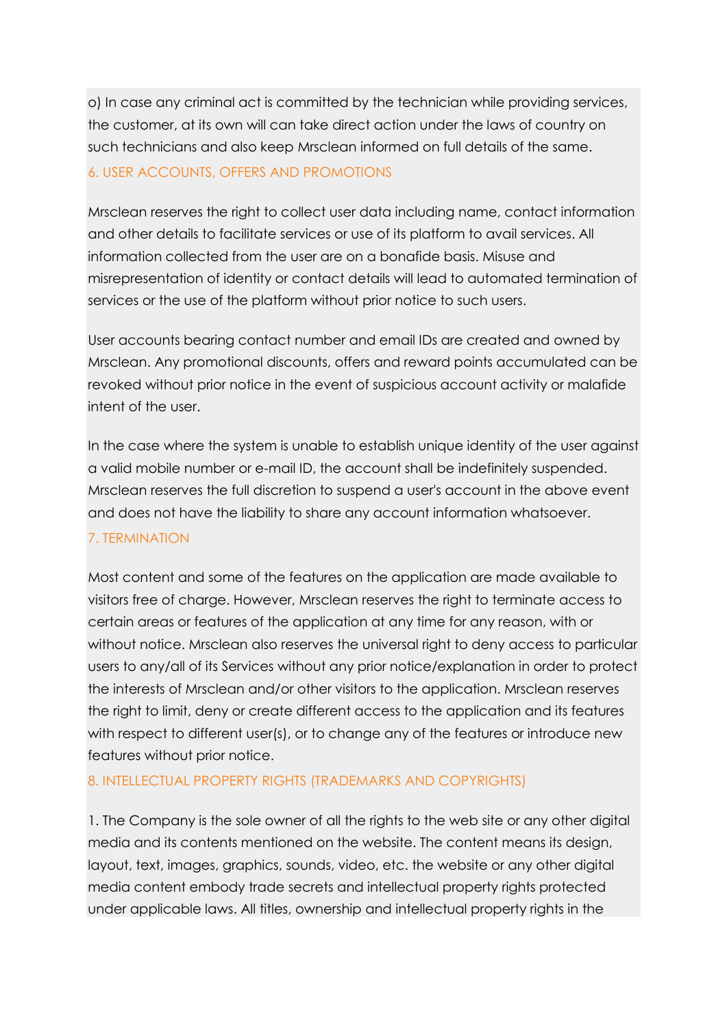o) In case any criminal act is committed by the technician while providing services, the customer, at its own will can take direct action under the laws of country on such technicians and also keep Mrsclean informed on full details of the same.

# 6. USER ACCOUNTS, OFFERS AND PROMOTIONS

Mrsclean reserves the right to collect user data including name, contact information and other details to facilitate services or use of its platform to avail services. All information collected from the user are on a bonafide basis. Misuse and misrepresentation of identity or contact details will lead to automated termination of services or the use of the platform without prior notice to such users.

User accounts bearing contact number and email IDs are created and owned by Mrsclean. Any promotional discounts, offers and reward points accumulated can be revoked without prior notice in the event of suspicious account activity or malafide intent of the user.

In the case where the system is unable to establish unique identity of the user against a valid mobile number or e-mail ID, the account shall be indefinitely suspended. Mrsclean reserves the full discretion to suspend a user's account in the above event and does not have the liability to share any account information whatsoever.

# 7. TERMINATION

Most content and some of the features on the application are made available to visitors free of charge. However, Mrsclean reserves the right to terminate access to certain areas or features of the application at any time for any reason, with or without notice. Mrsclean also reserves the universal right to deny access to particular users to any/all of its Services without any prior notice/explanation in order to protect the interests of Mrsclean and/or other visitors to the application. Mrsclean reserves the right to limit, deny or create different access to the application and its features with respect to different user(s), or to change any of the features or introduce new features without prior notice.

# 8. INTELLECTUAL PROPERTY RIGHTS (TRADEMARKS AND COPYRIGHTS)

1. The Company is the sole owner of all the rights to the web site or any other digital media and its contents mentioned on the website. The content means its design, layout, text, images, graphics, sounds, video, etc. the website or any other digital media content embody trade secrets and intellectual property rights protected under applicable laws. All titles, ownership and intellectual property rights in the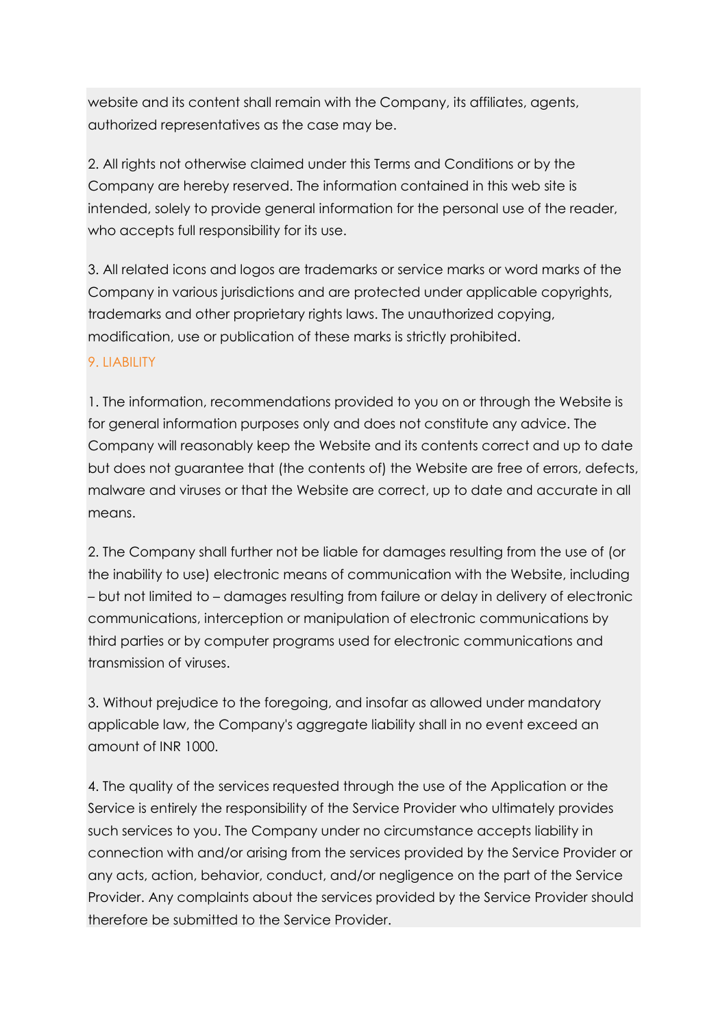website and its content shall remain with the Company, its affiliates, agents, authorized representatives as the case may be.

2. All rights not otherwise claimed under this Terms and Conditions or by the Company are hereby reserved. The information contained in this web site is intended, solely to provide general information for the personal use of the reader, who accepts full responsibility for its use.

3. All related icons and logos are trademarks or service marks or word marks of the Company in various jurisdictions and are protected under applicable copyrights, trademarks and other proprietary rights laws. The unauthorized copying, modification, use or publication of these marks is strictly prohibited.

# 9. LIABILITY

1. The information, recommendations provided to you on or through the Website is for general information purposes only and does not constitute any advice. The Company will reasonably keep the Website and its contents correct and up to date but does not guarantee that (the contents of) the Website are free of errors, defects, malware and viruses or that the Website are correct, up to date and accurate in all means.

2. The Company shall further not be liable for damages resulting from the use of (or the inability to use) electronic means of communication with the Website, including – but not limited to – damages resulting from failure or delay in delivery of electronic communications, interception or manipulation of electronic communications by third parties or by computer programs used for electronic communications and transmission of viruses.

3. Without prejudice to the foregoing, and insofar as allowed under mandatory applicable law, the Company's aggregate liability shall in no event exceed an amount of INR 1000.

4. The quality of the services requested through the use of the Application or the Service is entirely the responsibility of the Service Provider who ultimately provides such services to you. The Company under no circumstance accepts liability in connection with and/or arising from the services provided by the Service Provider or any acts, action, behavior, conduct, and/or negligence on the part of the Service Provider. Any complaints about the services provided by the Service Provider should therefore be submitted to the Service Provider.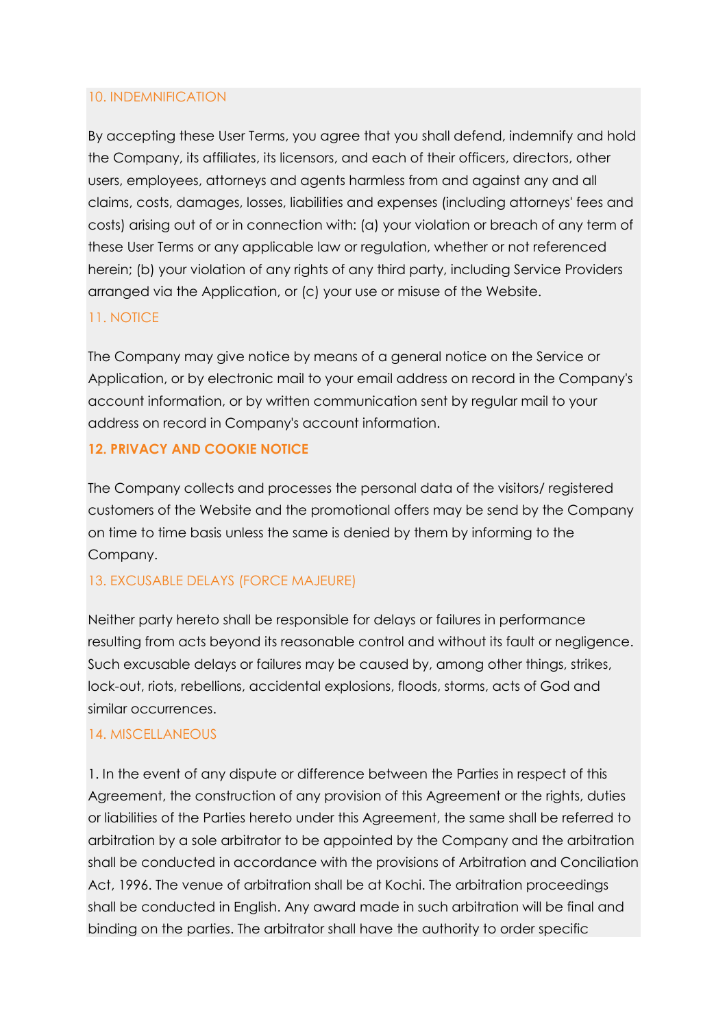### 10. INDEMNIFICATION

By accepting these User Terms, you agree that you shall defend, indemnify and hold the Company, its affiliates, its licensors, and each of their officers, directors, other users, employees, attorneys and agents harmless from and against any and all claims, costs, damages, losses, liabilities and expenses (including attorneys' fees and costs) arising out of or in connection with: (a) your violation or breach of any term of these User Terms or any applicable law or regulation, whether or not referenced herein; (b) your violation of any rights of any third party, including Service Providers arranged via the Application, or (c) your use or misuse of the Website.

### 11. NOTICE

The Company may give notice by means of a general notice on the Service or Application, or by electronic mail to your email address on record in the Company's account information, or by written communication sent by regular mail to your address on record in Company's account information.

### **12. PRIVACY AND COOKIE NOTICE**

The Company collects and processes the personal data of the visitors/ registered customers of the Website and the promotional offers may be send by the Company on time to time basis unless the same is denied by them by informing to the Company.

### 13. EXCUSABLE DELAYS (FORCE MAJEURE)

Neither party hereto shall be responsible for delays or failures in performance resulting from acts beyond its reasonable control and without its fault or negligence. Such excusable delays or failures may be caused by, among other things, strikes, lock-out, riots, rebellions, accidental explosions, floods, storms, acts of God and similar occurrences.

### 14. MISCELLANEOUS

1. In the event of any dispute or difference between the Parties in respect of this Agreement, the construction of any provision of this Agreement or the rights, duties or liabilities of the Parties hereto under this Agreement, the same shall be referred to arbitration by a sole arbitrator to be appointed by the Company and the arbitration shall be conducted in accordance with the provisions of Arbitration and Conciliation Act, 1996. The venue of arbitration shall be at Kochi. The arbitration proceedings shall be conducted in English. Any award made in such arbitration will be final and binding on the parties. The arbitrator shall have the authority to order specific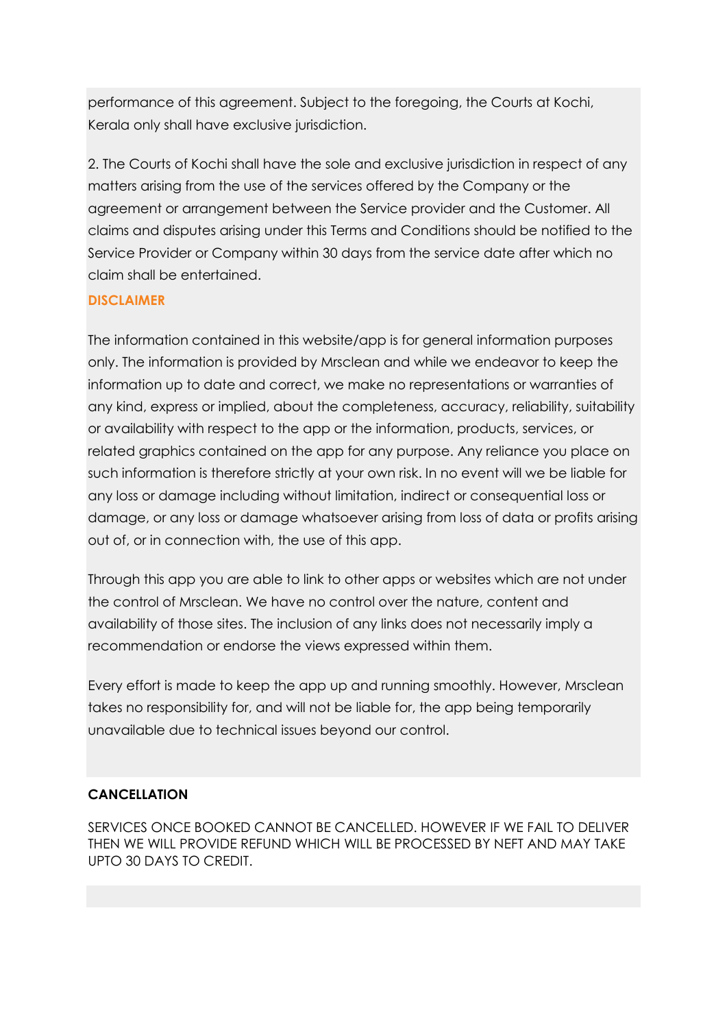performance of this agreement. Subject to the foregoing, the Courts at Kochi, Kerala only shall have exclusive jurisdiction.

2. The Courts of Kochi shall have the sole and exclusive jurisdiction in respect of any matters arising from the use of the services offered by the Company or the agreement or arrangement between the Service provider and the Customer. All claims and disputes arising under this Terms and Conditions should be notified to the Service Provider or Company within 30 days from the service date after which no claim shall be entertained.

# **DISCLAIMER**

The information contained in this website/app is for general information purposes only. The information is provided by Mrsclean and while we endeavor to keep the information up to date and correct, we make no representations or warranties of any kind, express or implied, about the completeness, accuracy, reliability, suitability or availability with respect to the app or the information, products, services, or related graphics contained on the app for any purpose. Any reliance you place on such information is therefore strictly at your own risk. In no event will we be liable for any loss or damage including without limitation, indirect or consequential loss or damage, or any loss or damage whatsoever arising from loss of data or profits arising out of, or in connection with, the use of this app.

Through this app you are able to link to other apps or websites which are not under the control of Mrsclean. We have no control over the nature, content and availability of those sites. The inclusion of any links does not necessarily imply a recommendation or endorse the views expressed within them.

Every effort is made to keep the app up and running smoothly. However, Mrsclean takes no responsibility for, and will not be liable for, the app being temporarily unavailable due to technical issues beyond our control.

# **CANCELLATION**

SERVICES ONCE BOOKED CANNOT BE CANCELLED. HOWEVER IF WE FAIL TO DELIVER THEN WE WILL PROVIDE REFUND WHICH WILL BE PROCESSED BY NEFT AND MAY TAKE UPTO 30 DAYS TO CREDIT.